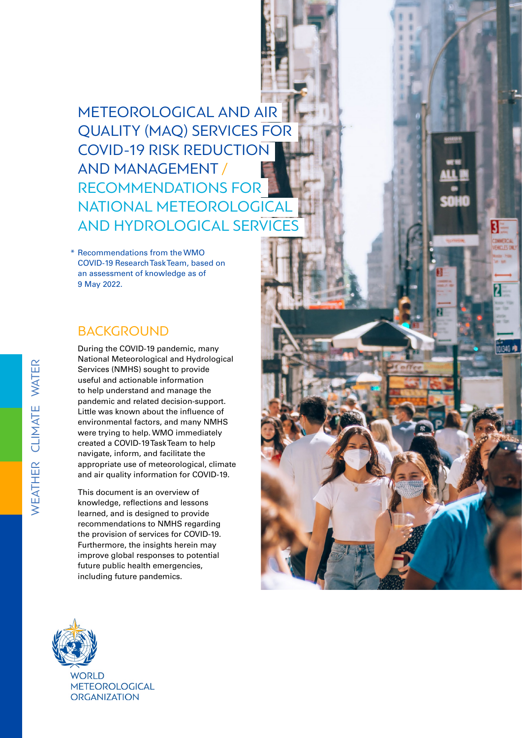METEOROLOGICAL AND AIR QUALITY (MAQ) SERVICES FOR COVID-19 RISK REDUCTION AND MANAGEMENT / RECOMMENDATIONS FOR NATIONAL METEOROLOGICAL AND HYDROLOGICAL SERVICES

Recommendations from the WMO \* COVID-19 Research Task Team, based on an assessment of knowledge as of 9 May 2022.

### BACKGROUND

During the COVID-19 pandemic, many National Meteorological and Hydrological Services (NMHS) sought to provide useful and actionable information to help understand and manage the pandemic and related decision-support. Little was known about the influence of environmental factors, and many NMHS were trying to help. WMO immediately created a COVID-19 Task Team to help navigate, inform, and facilitate the appropriate use of meteorological, climate and air quality information for COVID-19.

This document is an overview of knowledge, reflections and lessons learned, and is designed to provide recommendations to NMHS regarding the provision of services for COVID-19. Furthermore, the insights herein may improve global responses to potential future public health emergencies, including future pandemics.



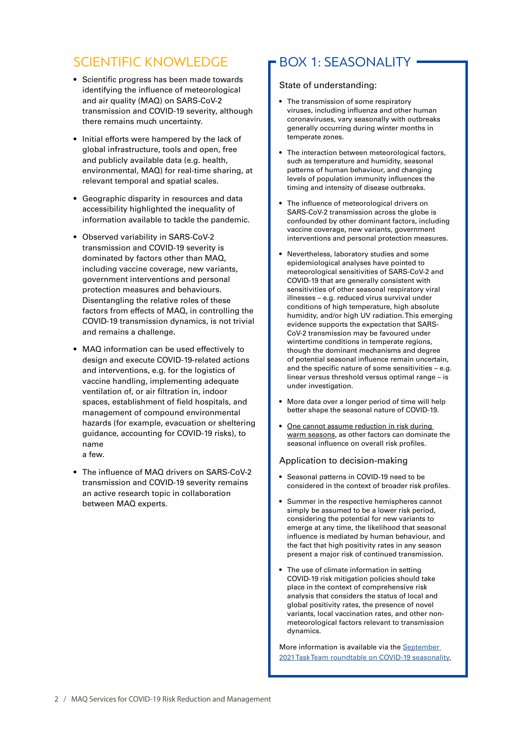### SCIENTIFIC KNOWLEDGE

- Scientific progress has been made towards identifying the influence of meteorological and air quality (MAQ) on SARS-CoV-2 transmission and COVID-19 severity, although there remains much uncertainty.
- Initial efforts were hampered by the lack of global infrastructure, tools and open, free and publicly available data (e.g. health, environmental, MAQ) for real-time sharing, at relevant temporal and spatial scales.
- Geographic disparity in resources and data accessibility highlighted the inequality of information available to tackle the pandemic.
- Observed variability in SARS-CoV-2 transmission and COVID-19 severity is dominated by factors other than MAQ, including vaccine coverage, new variants, government interventions and personal protection measures and behaviours. Disentangling the relative roles of these factors from effects of MAQ, in controlling the COVID-19 transmission dynamics, is not trivial and remains a challenge.
- MAQ information can be used effectively to design and execute COVID-19-related actions and interventions, e.g. for the logistics of vaccine handling, implementing adequate ventilation of, or air filtration in, indoor spaces, establishment of field hospitals, and management of compound environmental hazards (for example, evacuation or sheltering guidance, accounting for COVID-19 risks), to name a few.
- The influence of MAQ drivers on SARS-CoV-2 transmission and COVID-19 severity remains an active research topic in collaboration between MAQ experts.

### BOX 1: SEASONALITY

#### State of understanding:

- The transmission of some respiratory viruses, including influenza and other human coronaviruses, vary seasonally with outbreaks generally occurring during winter months in temperate zones.
- The interaction between meteorological factors, such as temperature and humidity, seasonal patterns of human behaviour, and changing levels of population immunity influences the timing and intensity of disease outbreaks.
- The influence of meteorological drivers on SARS-CoV-2 transmission across the globe is confounded by other dominant factors, including vaccine coverage, new variants, government interventions and personal protection measures.
- Nevertheless, laboratory studies and some epidemiological analyses have pointed to meteorological sensitivities of SARS-CoV-2 and COVID-19 that are generally consistent with sensitivities of other seasonal respiratory viral illnesses – e.g. reduced virus survival under conditions of high temperature, high absolute humidity, and/or high UV radiation. This emerging evidence supports the expectation that SARS-CoV-2 transmission may be favoured under wintertime conditions in temperate regions, though the dominant mechanisms and degree of potential seasonal influence remain uncertain, and the specific nature of some sensitivities – e.g. linear versus threshold versus optimal range – is under investigation.
- More data over a longer period of time will help better shape the seasonal nature of COVID-19.
- One cannot assume reduction in risk during warm seasons, as other factors can dominate the seasonal influence on overall risk profiles.

#### Application to decision-making

- Seasonal patterns in COVID-19 need to be considered in the context of broader risk profiles.
- Summer in the respective hemispheres cannot simply be assumed to be a lower risk period, considering the potential for new variants to emerge at any time, the likelihood that seasonal influence is mediated by human behaviour, and the fact that high positivity rates in any season present a major risk of continued transmission.
- The use of climate information in setting COVID-19 risk mitigation policies should take place in the context of comprehensive risk analysis that considers the status of local and global positivity rates, the presence of novel variants, local vaccination rates, and other nonmeteorological factors relevant to transmission dynamics.

More information is available via the September [2021 Task Team roundtable on COVID-19 seasonality.](https://community.wmo.int/activity-areas/health/Task-Team/activities)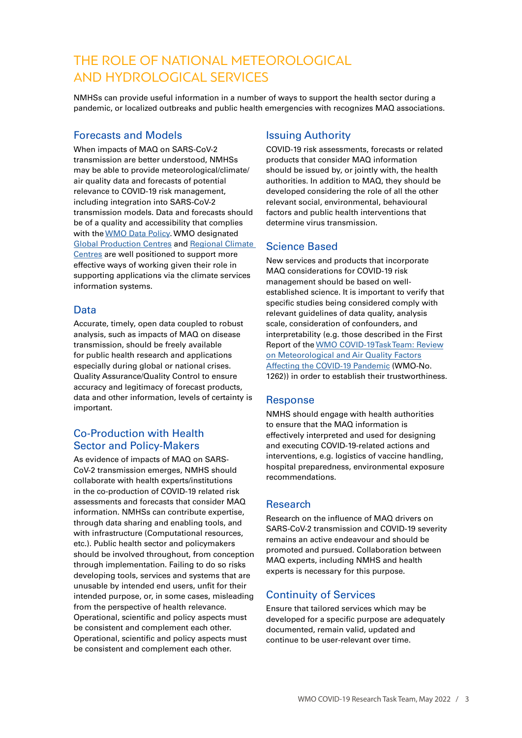## THE ROLE OF NATIONAL METEOROLOGICAL AND HYDROLOGICAL SERVICES

NMHSs can provide useful information in a number of ways to support the health sector during a pandemic, or localized outbreaks and public health emergencies with recognizes MAQ associations.

#### Forecasts and Models

When impacts of MAQ on SARS-CoV-2 transmission are better understood, NMHSs may be able to provide meteorological/climate/ air quality data and forecasts of potential relevance to COVID-19 risk management, including integration into SARS-CoV-2 transmission models. Data and forecasts should be of a quality and accessibility that complies with the [WMO Data Policy.](https://public.wmo.int/en/our-mandate/what-we-do/observations/Unified-WMO-Data-Policy-Resolution) WMO designated **[Global Production Centres](https://community.wmo.int/global-producing-centres-long-range-forecasts) and Regional Climate** [Centres](https://public.wmo.int/en/our-mandate/climate/regional-climate-centres) are well positioned to support more effective ways of working given their role in supporting applications via the climate services information systems.

#### Data

Accurate, timely, open data coupled to robust analysis, such as impacts of MAQ on disease transmission, should be freely available for public health research and applications especially during global or national crises. Quality Assurance/Quality Control to ensure accuracy and legitimacy of forecast products, data and other information, levels of certainty is important.

### Co-Production with Health Sector and Policy-Makers

As evidence of impacts of MAQ on SARS-CoV-2 transmission emerges, NMHS should collaborate with health experts/institutions in the co-production of COVID-19 related risk assessments and forecasts that consider MAQ information. NMHSs can contribute expertise, through data sharing and enabling tools, and with infrastructure (Computational resources, etc.). Public health sector and policymakers should be involved throughout, from conception through implementation. Failing to do so risks developing tools, services and systems that are unusable by intended end users, unfit for their intended purpose, or, in some cases, misleading from the perspective of health relevance. Operational, scientific and policy aspects must be consistent and complement each other. Operational, scientific and policy aspects must be consistent and complement each other.

### Issuing Authority

COVID-19 risk assessments, forecasts or related products that consider MAQ information should be issued by, or jointly with, the health authorities. In addition to MAQ, they should be developed considering the role of all the other relevant social, environmental, behavioural factors and public health interventions that determine virus transmission.

#### Science Based

New services and products that incorporate MAQ considerations for COVID-19 risk management should be based on wellestablished science. It is important to verify that specific studies being considered comply with relevant guidelines of data quality, analysis scale, consideration of confounders, and interpretability (e.g. those described in the First Report of the [WMO COVID-19 Task Team: Review](https://library.wmo.int/index.php?lvl=notice_display&id=21857#.YGHj3EgzZR7)  [on Meteorological and Air Quality Factors](https://library.wmo.int/index.php?lvl=notice_display&id=21857#.YGHj3EgzZR7)  [Affecting the COVID-19 Pandemic](https://library.wmo.int/index.php?lvl=notice_display&id=21857#.YGHj3EgzZR7) (WMO-No. 1262)) in order to establish their trustworthiness.

#### **Response**

NMHS should engage with health authorities to ensure that the MAQ information is effectively interpreted and used for designing and executing COVID-19-related actions and interventions, e.g. logistics of vaccine handling, hospital preparedness, environmental exposure recommendations.

### Research

Research on the influence of MAQ drivers on SARS-CoV-2 transmission and COVID-19 severity remains an active endeavour and should be promoted and pursued. Collaboration between MAQ experts, including NMHS and health experts is necessary for this purpose.

### Continuity of Services

Ensure that tailored services which may be developed for a specific purpose are adequately documented, remain valid, updated and continue to be user-relevant over time.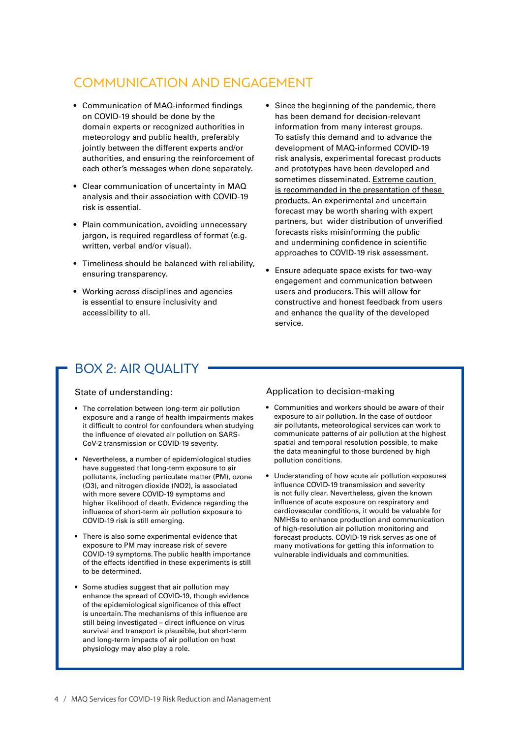## COMMUNICATION AND ENGAGEMENT

- Communication of MAQ-informed findings on COVID-19 should be done by the domain experts or recognized authorities in meteorology and public health, preferably jointly between the different experts and/or authorities, and ensuring the reinforcement of each other's messages when done separately.
- Clear communication of uncertainty in MAQ analysis and their association with COVID-19 risk is essential.
- Plain communication, avoiding unnecessary jargon, is required regardless of format (e.g. written, verbal and/or visual).
- Timeliness should be balanced with reliability, ensuring transparency.
- Working across disciplines and agencies is essential to ensure inclusivity and accessibility to all.
- Since the beginning of the pandemic, there has been demand for decision-relevant information from many interest groups. To satisfy this demand and to advance the development of MAQ-informed COVID-19 risk analysis, experimental forecast products and prototypes have been developed and sometimes disseminated. Extreme caution is recommended in the presentation of these products. An experimental and uncertain forecast may be worth sharing with expert partners, but wider distribution of unverified forecasts risks misinforming the public and undermining confidence in scientific approaches to COVID-19 risk assessment.
- Ensure adequate space exists for two-way engagement and communication between users and producers. This will allow for constructive and honest feedback from users and enhance the quality of the developed service.

### BOX 2: AIR QUALITY

#### State of understanding:

- The correlation between long-term air pollution exposure and a range of health impairments makes it difficult to control for confounders when studying the influence of elevated air pollution on SARS-CoV-2 transmission or COVID-19 severity.
- Nevertheless, a number of epidemiological studies have suggested that long-term exposure to air pollutants, including particulate matter (PM), ozone (O3), and nitrogen dioxide (NO2), is associated with more severe COVID-19 symptoms and higher likelihood of death. Evidence regarding the influence of short-term air pollution exposure to COVID-19 risk is still emerging.
- There is also some experimental evidence that exposure to PM may increase risk of severe COVID-19 symptoms. The public health importance of the effects identified in these experiments is still to be determined.
- Some studies suggest that air pollution may enhance the spread of COVID-19, though evidence of the epidemiological significance of this effect is uncertain. The mechanisms of this influence are still being investigated – direct influence on virus survival and transport is plausible, but short-term and long-term impacts of air pollution on host physiology may also play a role.

#### Application to decision-making

- Communities and workers should be aware of their exposure to air pollution. In the case of outdoor air pollutants, meteorological services can work to communicate patterns of air pollution at the highest spatial and temporal resolution possible, to make the data meaningful to those burdened by high pollution conditions.
- Understanding of how acute air pollution exposures influence COVID-19 transmission and severity is not fully clear. Nevertheless, given the known influence of acute exposure on respiratory and cardiovascular conditions, it would be valuable for NMHSs to enhance production and communication of high-resolution air pollution monitoring and forecast products. COVID-19 risk serves as one of many motivations for getting this information to vulnerable individuals and communities.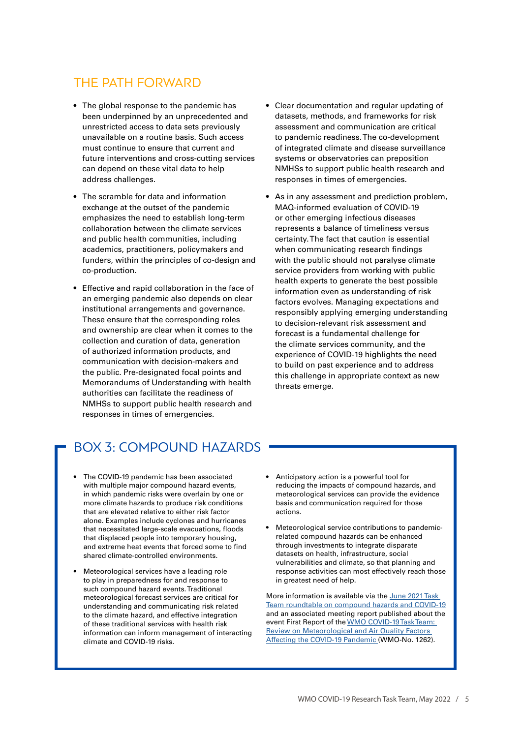### THE PATH FORWARD

- The global response to the pandemic has been underpinned by an unprecedented and unrestricted access to data sets previously unavailable on a routine basis. Such access must continue to ensure that current and future interventions and cross-cutting services can depend on these vital data to help address challenges.
- The scramble for data and information exchange at the outset of the pandemic emphasizes the need to establish long-term collaboration between the climate services and public health communities, including academics, practitioners, policymakers and funders, within the principles of co-design and co-production.
- Effective and rapid collaboration in the face of an emerging pandemic also depends on clear institutional arrangements and governance. These ensure that the corresponding roles and ownership are clear when it comes to the collection and curation of data, generation of authorized information products, and communication with decision-makers and the public. Pre-designated focal points and Memorandums of Understanding with health authorities can facilitate the readiness of NMHSs to support public health research and responses in times of emergencies.
- Clear documentation and regular updating of datasets, methods, and frameworks for risk assessment and communication are critical to pandemic readiness. The co-development of integrated climate and disease surveillance systems or observatories can preposition NMHSs to support public health research and responses in times of emergencies.
- As in any assessment and prediction problem, MAQ-informed evaluation of COVID-19 or other emerging infectious diseases represents a balance of timeliness versus certainty. The fact that caution is essential when communicating research findings with the public should not paralyse climate service providers from working with public health experts to generate the best possible information even as understanding of risk factors evolves. Managing expectations and responsibly applying emerging understanding to decision-relevant risk assessment and forecast is a fundamental challenge for the climate services community, and the experience of COVID-19 highlights the need to build on past experience and to address this challenge in appropriate context as new threats emerge.

## BOX 3: COMPOUND HAZARDS

- The COVID-19 pandemic has been associated with multiple major compound hazard events, in which pandemic risks were overlain by one or more climate hazards to produce risk conditions that are elevated relative to either risk factor alone. Examples include cyclones and hurricanes that necessitated large-scale evacuations, floods that displaced people into temporary housing, and extreme heat events that forced some to find shared climate-controlled environments.
- Meteorological services have a leading role to play in preparedness for and response to such compound hazard events. Traditional meteorological forecast services are critical for understanding and communicating risk related to the climate hazard, and effective integration of these traditional services with health risk information can inform management of interacting climate and COVID-19 risks.
- Anticipatory action is a powerful tool for reducing the impacts of compound hazards, and meteorological services can provide the evidence basis and communication required for those actions.
- Meteorological service contributions to pandemicrelated compound hazards can be enhanced through investments to integrate disparate datasets on health, infrastructure, social vulnerabilities and climate, so that planning and response activities can most effectively reach those in greatest need of help.

More information is available via the June 2021 Task [Team roundtable on compound hazards and COVID-19](https://community.wmo.int/activity-areas/health/Task-Team/activities) and an associated meeting report published about the event First Report of the [WMO COVID-19 Task Team:](https://library.wmo.int/index.php?lvl=notice_display&id=21857#.YGHj3EgzZR7)  [Review on Meteorological and Air Quality Factors](https://library.wmo.int/index.php?lvl=notice_display&id=21857#.YGHj3EgzZR7)  [Affecting the COVID-19 Pandemic](https://library.wmo.int/index.php?lvl=notice_display&id=21857#.YGHj3EgzZR7) (WMO-No. 1262).